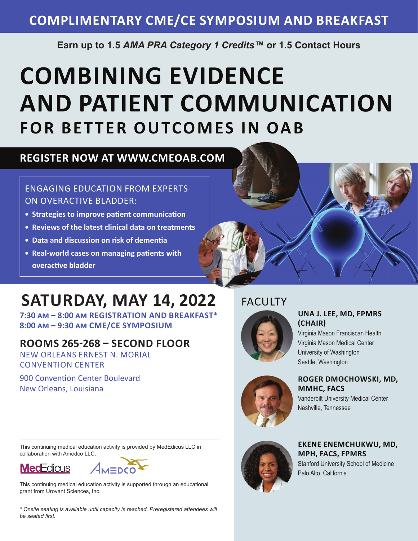## **COMPLIMENTARY CME/CE SYMPOSIUM AND BREAKFAST**

**Earn up to 1.5** *AMA PRA Category 1 Credits™* **or 1.5 Contact Hours**

# **COMBINING EVIDENCE AND PATIENT COMMUNICATION FOR BETTER OUTCOMES IN OAB**

## **REGISTER NOW AT WWW.CMEOAB.COM**

## ENGAGING EDUCATION FROM EXPERTS ON OVERACTIVE BLADDER:

- **• Strategies to improve patient communication**
- **• Reviews of the latest clinical data on treatments**
- **• Data and discussion on risk of dementia**
- **• Real-world cases on managing patients with overactive bladder**

## **SATURDAY, MAY 14, 2022**

**7:30 am – 8:00 am REGISTRATION AND BREAKFAST\* 8:00 am – 9:30 am CME/CE SYMPOSIUM** 

## **ROOMS 265-268 – SECOND FLOOR**

NEW ORLEANS ERNEST N. MORIAL CONVENTION CENTER

900 Convention Center Boulevard New Orleans, Louisiana

## FACULTY



## **UNA J. LEE, MD, FPMRS (CHAIR)**

Virginia Mason Franciscan Health Virginia Mason Medical Center University of Washington Seattle, Washington



## **ROGER DMOCHOWSKI, MD, MMHC, FACS**

Vanderbilt University Medical Center Nashville, Tennessee

This continuing medical education activity is provided by MedEdicus LLC in collaboration with Amedco LLC.





This continuing medical education activity is supported through an educational grant from Urovant Sciences, Inc.

*\* Onsite seating is available until capacity is reached. Preregistered attendees will be seated first.*



**EKENE ENEMCHUKWU, MD, MPH, FACS, FPMRS** Stanford University School of Medicine Palo Alto, California